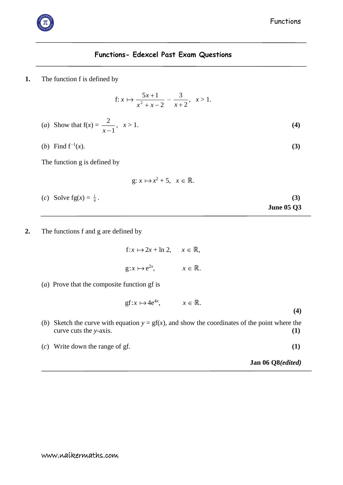

## **Functions- Edexcel Past Exam Questions**

**1.** The function f is defined by

f: 
$$
x \mapsto \frac{5x+1}{x^2+x-2} - \frac{3}{x+2}, \quad x > 1.
$$

(a) Show that 
$$
f(x) = \frac{2}{x-1}
$$
,  $x > 1$ . (4)

(*b*) Find  $f^{-1}(x)$ . (*x*). **(3)**

The function g is defined by

g: 
$$
x \mapsto x^2 + 5
$$
,  $x \in \mathbb{R}$ .

- (*c*) Solve  $fg(x) = \frac{1}{4}$ . **(3) June 05 Q3**
- **2.** The functions f and g are defined by

 $f: x \mapsto 2x + \ln 2, \quad x \in \mathbb{R},$  $g: x \mapsto e^{2x}$  $x \in \mathbb{R}$ .

(*a*) Prove that the composite function gf is

$$
gf: x \mapsto 4e^{4x}, \qquad x \in \mathbb{R}.
$$

- (*b*) Sketch the curve with equation  $y = gf(x)$ , and show the coordinates of the point where the curve cuts the *y*-axis. **(1)**
- (*c*) Write down the range of gf. **(1)**

**Jan 06 Q8***(edited)*

**(4)**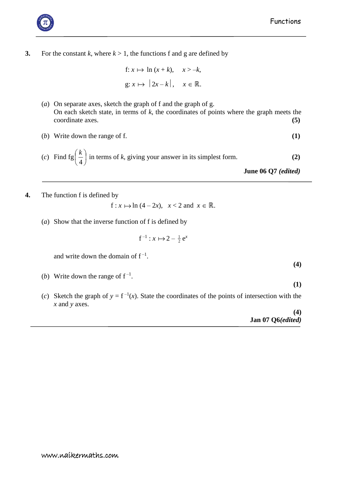

**3.** For the constant *k*, where  $k > 1$ , the functions f and g are defined by

f: 
$$
x \mapsto \ln(x+k)
$$
,  $x > -k$ ,  
g:  $x \mapsto |2x-k|$ ,  $x \in \mathbb{R}$ .

- (*a*) On separate axes, sketch the graph of f and the graph of g. On each sketch state, in terms of *k*, the coordinates of points where the graph meets the coordinate axes. **(5)**
- (*b*) Write down the range of f. **(1)**

(c) Find 
$$
fg\left(\frac{k}{4}\right)
$$
 in terms of *k*, giving your answer in its simplest form. (2)  
June 06 Q7 (*edited*)

**4.** The function f is defined by

$$
f: x \mapsto \ln(4 - 2x), \quad x < 2 \text{ and } x \in \mathbb{R}.
$$

(*a*) Show that the inverse function of f is defined by

$$
f^{-1}: x \mapsto 2 - \frac{1}{2} e^x
$$

and write down the domain of  $f^{-1}$ .

- (*b*) Write down the range of  $f^{-1}$ .
- (*c*) Sketch the graph of  $y = f^{-1}(x)$ . State the coordinates of the points of intersection with the *x* and *y* axes.

|  |                   | (4) |
|--|-------------------|-----|
|  | Jan 07 Q6(edited) |     |

**(4)**

**(1)**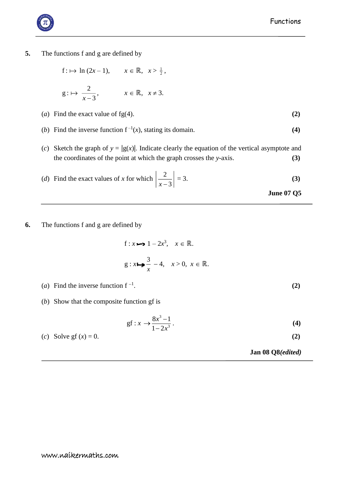## **5.** The functions f and g are defined by

$$
f: \mapsto \ln(2x - 1), \qquad x \in \mathbb{R}, \quad x > \frac{1}{2},
$$

$$
g: \mapsto \frac{2}{x-3}, \qquad x \in \mathbb{R}, \ x \neq 3.
$$

- (*a*) Find the exact value of fg(4).  $(2)$
- (*b*) Find the inverse function  $f^{-1}(x)$ , stating its domain. **(4)**
- (*c*) Sketch the graph of  $y = |g(x)|$ . Indicate clearly the equation of the vertical asymptote and the coordinates of the point at which the graph crosses the *y*-axis. **(3)**

(d) Find the exact values of x for which 
$$
\left| \frac{2}{x-3} \right| = 3.
$$
 (3)  
June 07 Q5

**6.** The functions f and g are defined by

f: 
$$
x \mapsto 1 - 2x^3
$$
,  $x \in \mathbb{R}$ .  
g:  $x \mapsto \frac{3}{x} - 4$ ,  $x > 0$ ,  $x \in \mathbb{R}$ .

- (*a*) Find the inverse function  $f^{-1}$ .
- (*b*) Show that the composite function gf is

$$
gf: x \to \frac{8x^3 - 1}{1 - 2x^3}.
$$
 (4)

(c) Solve gf 
$$
(x) = 0
$$
.  $(2)$ 

 **Jan 08 Q8***(edited)*



. **(2)**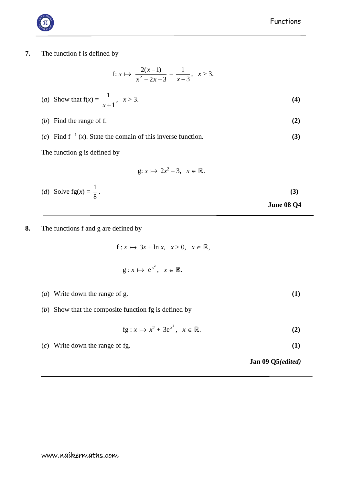**7.** The function f is defined by

f: 
$$
x \mapsto \frac{2(x-1)}{x^2 - 2x - 3} - \frac{1}{x-3}, \quad x > 3.
$$

(*a*) Show that 
$$
f(x) = \frac{1}{x+1}
$$
,  $x > 3$ . (4)

$$
(b) Find the range of f. \tag{2}
$$

(*c*) Find  $f^{-1}(x)$ . State the domain of this inverse function. **(3)** 

The function g is defined by

$$
g: x \mapsto 2x^2 - 3, \quad x \in \mathbb{R}.
$$

- (*d*) Solve  $fg(x) = \frac{1}{8}$ 1 . **(3) June 08 Q4**
- **8.** The functions f and g are defined by

 $f: x \mapsto 3x + \ln x, \quad x > 0, \quad x \in \mathbb{R},$ 

$$
g: x \mapsto e^{x^2}, \quad x \in \mathbb{R}.
$$

- (*a*) Write down the range of g. **(1)**
- (*b*) Show that the composite function fg is defined by

$$
fg: x \mapsto x^2 + 3e^{x^2}, \quad x \in \mathbb{R}.
$$
 (2)

(*c*) Write down the range of fg. **(1)**

 **Jan 09 Q5***(edited)*

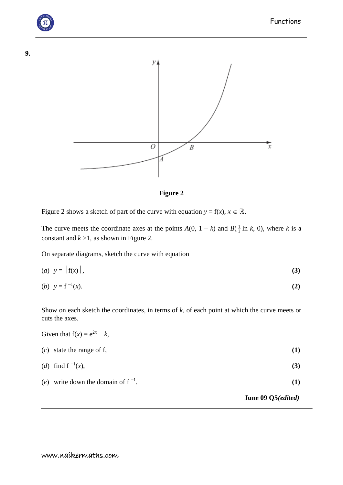



**Figure 2**

Figure 2 shows a sketch of part of the curve with equation  $y = f(x)$ ,  $x \in \mathbb{R}$ .

The curve meets the coordinate axes at the points  $A(0, 1 - k)$  and  $B(\frac{1}{2} \ln k, 0)$ , where *k* is a constant and  $k > 1$ , as shown in Figure 2.

On separate diagrams, sketch the curve with equation

$$
(a) \quad y = |f(x)|,\tag{3}
$$

(b) 
$$
y = f^{-1}(x)
$$
. (2)

Show on each sketch the coordinates, in terms of *k*, of each point at which the curve meets or cuts the axes.

|                                         | June 09 Q5( <i>edited</i> ) |
|-----------------------------------------|-----------------------------|
| (e) write down the domain of $f^{-1}$ . | (1)                         |
| (d) find $f^{-1}(x)$ ,                  | (3)                         |
| $(c)$ state the range of f,             | (1)                         |
| Given that $f(x) = e^{2x} - k$ ,        |                             |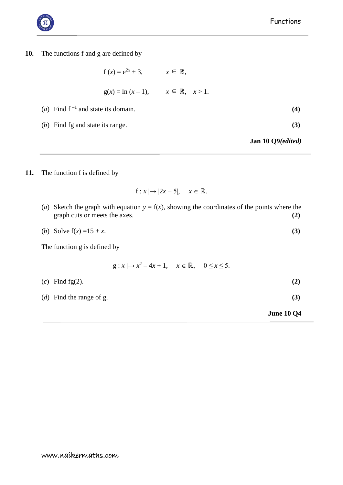

**10.** The functions f and g are defined by

$$
f(x) = e^{2x} + 3, \qquad x \in \mathbb{R},
$$
  
 
$$
g(x) = \ln (x - 1), \qquad x \in \mathbb{R}, \quad x > 1.
$$
  
and state its domain. (4)

(*b*) Find fg and state its range. **(3)**

**Jan 10 Q9***(edited)*

**11.** The function f is defined by

(*a*) Find  $f^{-1}$  and

 $f: x \mapsto |2x - 5|, \quad x \in \mathbb{R}.$ 

- (*a*) Sketch the graph with equation  $y = f(x)$ , showing the coordinates of the points where the graph cuts or meets the axes. **(2)**
- (*b*) Solve  $f(x) = 15 + x$ . (3)

The function g is defined by

 $g: x \mapsto x^2 - 4x + 1, \quad x \in \mathbb{R}, \quad 0 \le x \le 5.$ 

| $(c)$ Find fg(2).                 | (2) |
|-----------------------------------|-----|
| ( <i>d</i> ) Find the range of g. | (3) |

**June 10 Q4**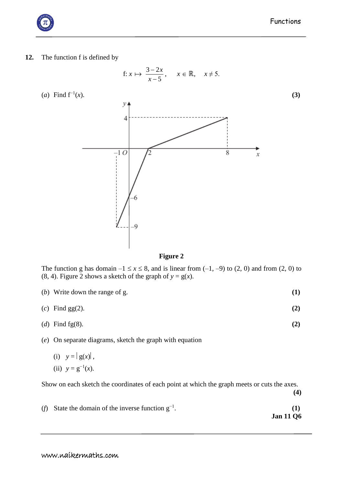## **12.** The function f is defined by

f: *x*  3 2 *x* , *x* ℝ, *x* ≠ 5. 5 *x* (*a*) Find f−1(*x*). **(3) Figure 2**

The function g has domain  $-1 \le x \le 8$ , and is linear from  $(-1, -9)$  to  $(2, 0)$  and from  $(2, 0)$  to (8, 4). Figure 2 shows a sketch of the graph of  $y = g(x)$ .

- (*b*) Write down the range of g. **(1)**
- (*c*) Find gg(2). **(2)**
- (*d*) Find fg(8). **(2)**
- (*e*) On separate diagrams, sketch the graph with equation
	- (i)  $y = |g(x)|$ ,
	- (ii)  $y = g^{-1}(x)$ .

Show on each sketch the coordinates of each point at which the graph meets or cuts the axes.

(*f*) State the domain of the inverse function  $g^{-1}$ .  $\hspace{1.6cm}$  (1) **Jan 11 Q6**



**(4)**